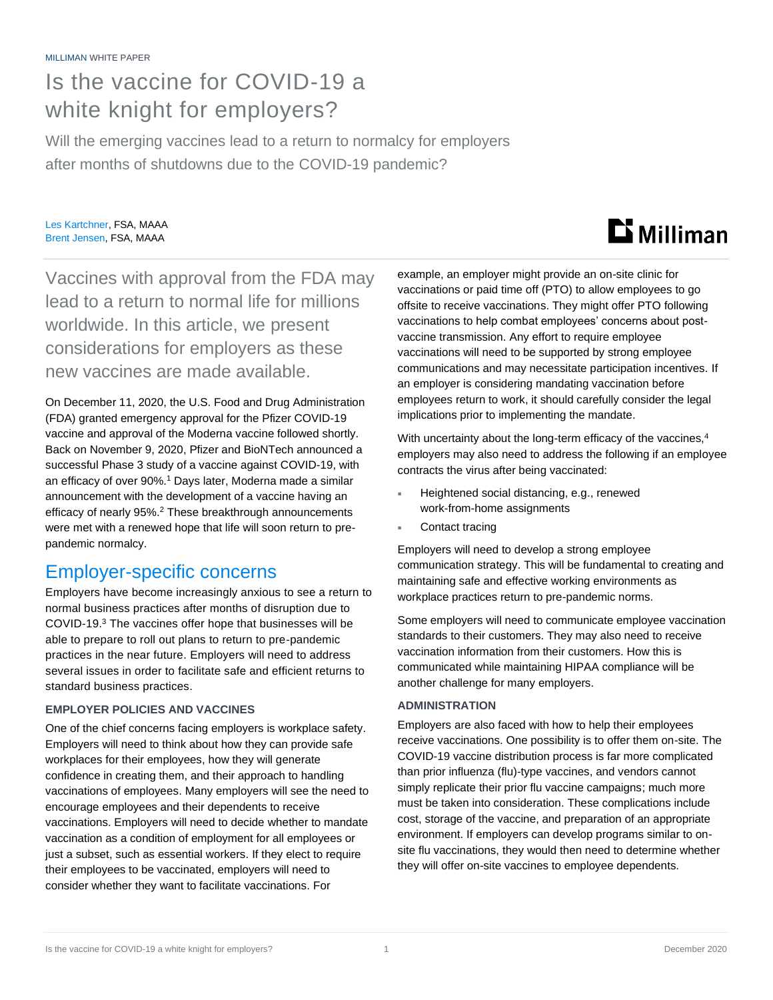## Is the vaccine for COVID-19 a white knight for employers?

Will the emerging vaccines lead to a return to normalcy for employers after months of shutdowns due to the COVID-19 pandemic?

#### Les Kartchner, FSA, MAAA Brent Jensen, FSA, MAAA

# **Li** Milliman

Vaccines with approval from the FDA may lead to a return to normal life for millions worldwide. In this article, we present considerations for employers as these new vaccines are made available.

On December 11, 2020, the U.S. Food and Drug Administration (FDA) granted emergency approval for the Pfizer COVID-19 vaccine and approval of the Moderna vaccine followed shortly. Back on November 9, 2020, Pfizer and BioNTech announced a successful Phase 3 study of a vaccine against COVID-19, with an efficacy of over 90%. <sup>1</sup> Days later, Moderna made a similar announcement with the development of a vaccine having an efficacy of nearly 95%.<sup>2</sup> These breakthrough announcements were met with a renewed hope that life will soon return to prepandemic normalcy.

## Employer-specific concerns

Employers have become increasingly anxious to see a return to normal business practices after months of disruption due to COVID-19.<sup>3</sup> The vaccines offer hope that businesses will be able to prepare to roll out plans to return to pre-pandemic practices in the near future. Employers will need to address several issues in order to facilitate safe and efficient returns to standard business practices.

#### **EMPLOYER POLICIES AND VACCINES**

One of the chief concerns facing employers is workplace safety. Employers will need to think about how they can provide safe workplaces for their employees, how they will generate confidence in creating them, and their approach to handling vaccinations of employees. Many employers will see the need to encourage employees and their dependents to receive vaccinations. Employers will need to decide whether to mandate vaccination as a condition of employment for all employees or just a subset, such as essential workers. If they elect to require their employees to be vaccinated, employers will need to consider whether they want to facilitate vaccinations. For

example, an employer might provide an on-site clinic for vaccinations or paid time off (PTO) to allow employees to go offsite to receive vaccinations. They might offer PTO following vaccinations to help combat employees' concerns about postvaccine transmission. Any effort to require employee vaccinations will need to be supported by strong employee communications and may necessitate participation incentives. If an employer is considering mandating vaccination before employees return to work, it should carefully consider the legal implications prior to implementing the mandate.

With uncertainty about the long-term efficacy of the vaccines,<sup>4</sup> employers may also need to address the following if an employee contracts the virus after being vaccinated:

- Heightened social distancing, e.g., renewed work-from-home assignments
- Contact tracing

Employers will need to develop a strong employee communication strategy. This will be fundamental to creating and maintaining safe and effective working environments as workplace practices return to pre-pandemic norms.

Some employers will need to communicate employee vaccination standards to their customers. They may also need to receive vaccination information from their customers. How this is communicated while maintaining HIPAA compliance will be another challenge for many employers.

#### **ADMINISTRATION**

Employers are also faced with how to help their employees receive vaccinations. One possibility is to offer them on-site. The COVID-19 vaccine distribution process is far more complicated than prior influenza (flu)-type vaccines, and vendors cannot simply replicate their prior flu vaccine campaigns; much more must be taken into consideration. These complications include cost, storage of the vaccine, and preparation of an appropriate environment. If employers can develop programs similar to onsite flu vaccinations, they would then need to determine whether they will offer on-site vaccines to employee dependents.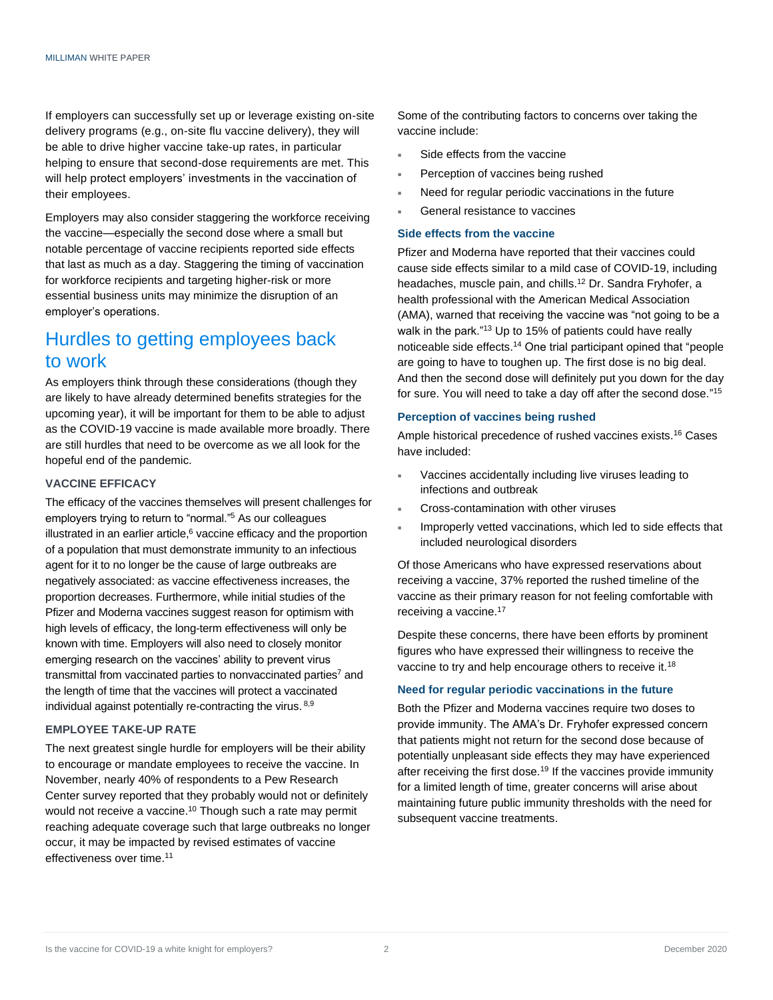If employers can successfully set up or leverage existing on-site delivery programs (e.g., on-site flu vaccine delivery), they will be able to drive higher vaccine take-up rates, in particular helping to ensure that second-dose requirements are met. This will help protect employers' investments in the vaccination of their employees.

Employers may also consider staggering the workforce receiving the vaccine—especially the second dose where a small but notable percentage of vaccine recipients reported side effects that last as much as a day. Staggering the timing of vaccination for workforce recipients and targeting higher-risk or more essential business units may minimize the disruption of an employer's operations.

### Hurdles to getting employees back to work

As employers think through these considerations (though they are likely to have already determined benefits strategies for the upcoming year), it will be important for them to be able to adjust as the COVID-19 vaccine is made available more broadly. There are still hurdles that need to be overcome as we all look for the hopeful end of the pandemic.

#### **VACCINE EFFICACY**

The efficacy of the vaccines themselves will present challenges for employers trying to return to "normal."<sup>5</sup> As our colleagues illustrated in an earlier article, $6$  vaccine efficacy and the proportion of a population that must demonstrate immunity to an infectious agent for it to no longer be the cause of large outbreaks are negatively associated: as vaccine effectiveness increases, the proportion decreases. Furthermore, while initial studies of the Pfizer and Moderna vaccines suggest reason for optimism with high levels of efficacy, the long-term effectiveness will only be known with time. Employers will also need to closely monitor emerging research on the vaccines' ability to prevent virus transmittal from vaccinated parties to nonvaccinated parties<sup>7</sup> and the length of time that the vaccines will protect a vaccinated individual against potentially re-contracting the virus. 8,9

#### **EMPLOYEE TAKE-UP RATE**

The next greatest single hurdle for employers will be their ability to encourage or mandate employees to receive the vaccine. In November, nearly 40% of respondents to a Pew Research Center survey reported that they probably would not or definitely would not receive a vaccine.<sup>10</sup> Though such a rate may permit reaching adequate coverage such that large outbreaks no longer occur, it may be impacted by revised estimates of vaccine effectiveness over time.<sup>11</sup>

Some of the contributing factors to concerns over taking the vaccine include:

- Side effects from the vaccine
- Perception of vaccines being rushed
- Need for regular periodic vaccinations in the future
- General resistance to vaccines

#### **Side effects from the vaccine**

Pfizer and Moderna have reported that their vaccines could cause side effects similar to a mild case of COVID-19, including headaches, muscle pain, and chills.<sup>12</sup> Dr. Sandra Fryhofer, a health professional with the American Medical Association (AMA), warned that receiving the vaccine was "not going to be a walk in the park."<sup>13</sup> Up to 15% of patients could have really noticeable side effects.<sup>14</sup> One trial participant opined that "people are going to have to toughen up. The first dose is no big deal. And then the second dose will definitely put you down for the day for sure. You will need to take a day off after the second dose." 15

#### **Perception of vaccines being rushed**

Ample historical precedence of rushed vaccines exists.<sup>16</sup> Cases have included:

- Vaccines accidentally including live viruses leading to infections and outbreak
- Cross-contamination with other viruses
- Improperly vetted vaccinations, which led to side effects that included neurological disorders

Of those Americans who have expressed reservations about receiving a vaccine, 37% reported the rushed timeline of the vaccine as their primary reason for not feeling comfortable with receiving a vaccine.<sup>17</sup>

Despite these concerns, there have been efforts by prominent figures who have expressed their willingness to receive the vaccine to try and help encourage others to receive it.<sup>18</sup>

#### **Need for regular periodic vaccinations in the future**

Both the Pfizer and Moderna vaccines require two doses to provide immunity. The AMA's Dr. Fryhofer expressed concern that patients might not return for the second dose because of potentially unpleasant side effects they may have experienced after receiving the first dose.<sup>19</sup> If the vaccines provide immunity for a limited length of time, greater concerns will arise about maintaining future public immunity thresholds with the need for subsequent vaccine treatments.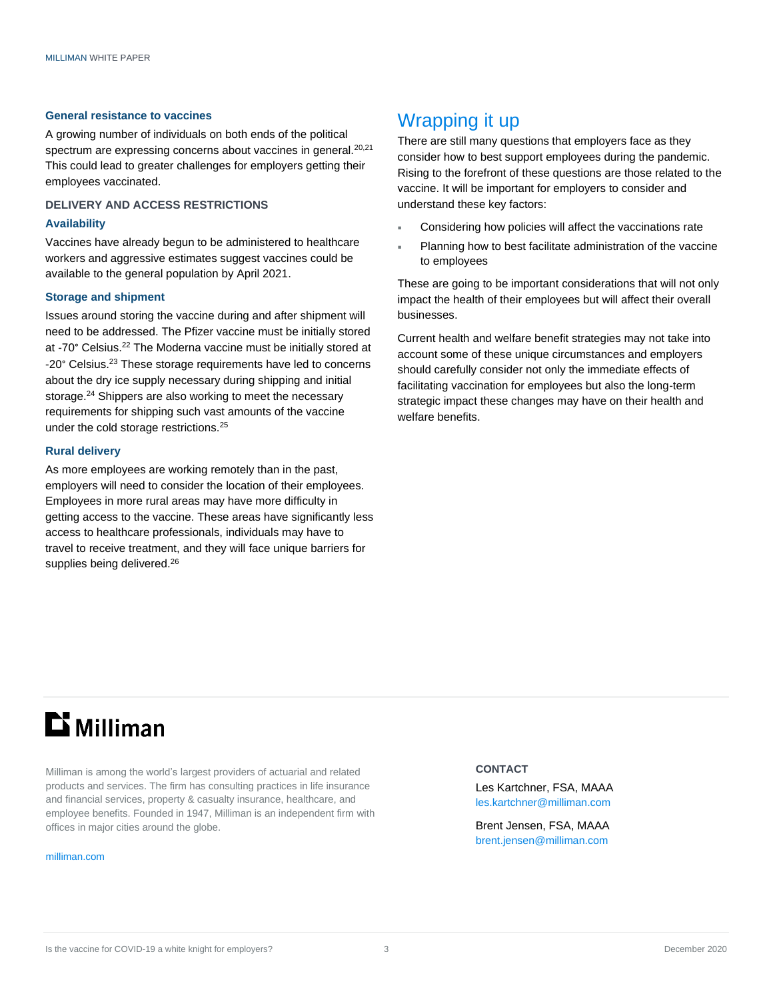#### **General resistance to vaccines**

A growing number of individuals on both ends of the political spectrum are expressing concerns about vaccines in general.<sup>20,21</sup> This could lead to greater challenges for employers getting their employees vaccinated.

#### **DELIVERY AND ACCESS RESTRICTIONS**

#### **Availability**

Vaccines have already begun to be administered to healthcare workers and aggressive estimates suggest vaccines could be available to the general population by April 2021.

#### **Storage and shipment**

Issues around storing the vaccine during and after shipment will need to be addressed. The Pfizer vaccine must be initially stored at -70° Celsius.<sup>22</sup> The Moderna vaccine must be initially stored at -20° Celsius.<sup>23</sup> These storage requirements have led to concerns about the dry ice supply necessary during shipping and initial storage.<sup>24</sup> Shippers are also working to meet the necessary requirements for shipping such vast amounts of the vaccine under the cold storage restrictions.<sup>25</sup>

#### **Rural delivery**

As more employees are working remotely than in the past, employers will need to consider the location of their employees. Employees in more rural areas may have more difficulty in getting access to the vaccine. These areas have significantly less access to healthcare professionals, individuals may have to travel to receive treatment, and they will face unique barriers for supplies being delivered.<sup>26</sup>

## Wrapping it up

There are still many questions that employers face as they consider how to best support employees during the pandemic. Rising to the forefront of these questions are those related to the vaccine. It will be important for employers to consider and understand these key factors:

- Considering how policies will affect the vaccinations rate
- Planning how to best facilitate administration of the vaccine to employees

These are going to be important considerations that will not only impact the health of their employees but will affect their overall businesses.

Current health and welfare benefit strategies may not take into account some of these unique circumstances and employers should carefully consider not only the immediate effects of facilitating vaccination for employees but also the long-term strategic impact these changes may have on their health and welfare benefits.

## $\mathbf{D}$  Milliman

Milliman is among the world's largest providers of actuarial and related products and services. The firm has consulting practices in life insurance and financial services, property & casualty insurance, healthcare, and employee benefits. Founded in 1947, Milliman is an independent firm with offices in major cities around the globe.

#### [milliman.com](http://www.milliman.com/)

#### **CONTACT**

Les Kartchner, FSA, MAAA [les.kartchner@milliman.com](mailto:les.kartchner@milliman.com)

Brent Jensen, FSA, MAAA [brent.jensen@milliman.com](mailto:brent.jensen@milliman.com)